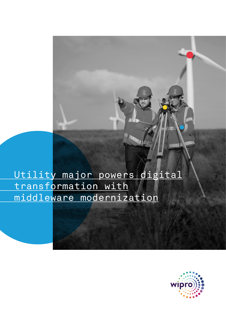# Utility major powers digital transformation with middleware modernization

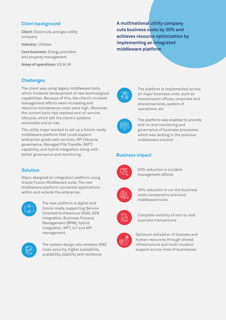## **Client background**

**Client:** Electricity and gas utility company

**Industry:** Utilities

**Core business:** Energy providers and property management

**Areas of operations:** US & UK

## **Challenges**

The client was using legacy middleware tools, which hindered development of new technological capabilities. Because of this, the client's incident management efforts were increasing and resource maintenance costs were high. Moreover, the current tools had reached end-of-service lifecycle, which left the client's systems vulnerable and at risk.

The utility major wanted to set up a future-ready middleware platform that could support enterprise-grade web services, API lifecycle governance, Managed File Transfer (MFT) capability, and hybrid integration along with better governance and monitoring.

# **Solution**

Wipro designed an integration platform using Oracle Fusion Middleware suite. The new middleware platform connected applications within and outside the enterprise.



The new platform is digital and future-ready, supporting Service Oriented Architecture (SOA), B2B integration, Business Process Management (BPM), hybrid integration, MFT, IoT and API management



The system design also enables DMZ class security, higher availability, scalability, stability and resilience

**A multinational utility company cuts business costs by 30% and achieves resource optimization by implementing an integrated middleware platform**



The platform is implemented across all major business units, such as transmission offices, corporate and shared services, system of operations, etc



The platform was enabled to provide end-to-end monitoring and governance of business processes, which was lacking in the previous middleware solution

#### **Business impact**



50% reduction in incident management efforts







Complete visibility of end-to-end business transactions



Optimum utilization of licenses and human resources through shared infrastructure and multi-location support across lines of businesses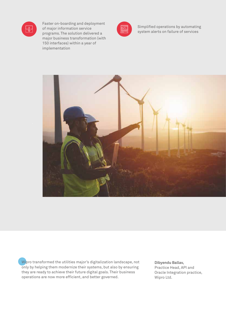

Faster on-boarding and deployment of major information service programs. The solution delivered a major business transformation (with 150 interfaces) within a year of implementation



Simplified operations by automating system alerts on failure of services



Wipro transformed the utilities major's digitalization landscape, not only by helping them modernize their systems, but also by ensuring they are ready to achieve their future digital goals. Their business operations are now more efficient, and better governed.

**Dibyendu Ballav,** Practice Head, API and Oracle Integration practice, Wipro Ltd.